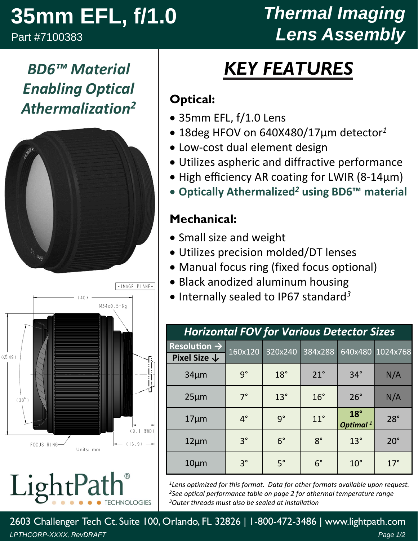## **35mm EFL, f/1.0**

*BD6™ Material*

*Enabling Optical*

*Athermalization2*

Part #7100383

 $\begin{array}{cc} \mathbf{0}_{L_{\mathbf{y}}}\end{array}$ 

 $(Ø49)$ 

 $(30^\circ)$ 

FOCUS RING-

LightPa

### *Thermal Imaging Lens Assembly*

# *KEY FEATURES*

### **Optical:**

- 35mm EFL, f/1.0 Lens
- 18deg HFOV on 640X480/17µm detector*<sup>1</sup>*
- Low‐cost dual element design
- Utilizes aspheric and diffractive performance
- High efficiency AR coating for LWIR (8-14µm)
- **Optically Athermalized***<sup>2</sup>* **using BD6™ material**

### **Mechanical:**

- Small size and weight
- Utilizes precision molded/DT lenses
- Manual focus ring (fixed focus optional)
- Black anodized aluminum housing
- Internally sealed to IP67 standard<sup>3</sup>

| <b>Horizontal FOV for Various Detector Sizes</b>    |             |             |              |                                      |                  |  |  |  |
|-----------------------------------------------------|-------------|-------------|--------------|--------------------------------------|------------------|--|--|--|
| Resolution $\rightarrow$<br>Pixel Size $\downarrow$ | 160x120     | 320x240     | 384x288      |                                      | 640x480 1024x768 |  |  |  |
|                                                     |             |             |              |                                      |                  |  |  |  |
| $34 \mu m$                                          | $9^{\circ}$ | $18^\circ$  | $21^\circ$   | $34^\circ$                           | N/A              |  |  |  |
| $25 \mu m$                                          | $7^\circ$   | $13^\circ$  | $16^{\circ}$ | $26^\circ$                           | N/A              |  |  |  |
| $17 \mu m$                                          | $4^\circ$   | $9^{\circ}$ | $11^{\circ}$ | $18^{\circ}$<br>Optimal <sup>1</sup> | $28^\circ$       |  |  |  |
| $12 \mu m$                                          | $3^{\circ}$ | $6^{\circ}$ | $8^\circ$    | $13^\circ$                           | $20^{\circ}$     |  |  |  |
| $10 \mu m$                                          | $3^{\circ}$ | $5^\circ$   | $6^{\circ}$  | $10^{\circ}$                         | $17^\circ$       |  |  |  |

*1Lens optimized for this format. Data for other formats available upon request. 2See optical performance table on page 2 for athermal temperature range 3Outer threads must also be sealed at installation*

2603 Challenger Tech Ct. Suite 100, Orlando, FL 32826 | 1-800-472-3486 | www.lightpath.com *LPTHCORP-XXXX, RevDRAFT Page 1/2*

Units: mm

-IMAGE\_PLANE-

 $(9.1 BWD)$ 

 $(16.9)$ 

**CHNOLOGIES** 

 $M34x0.5 - 6q$